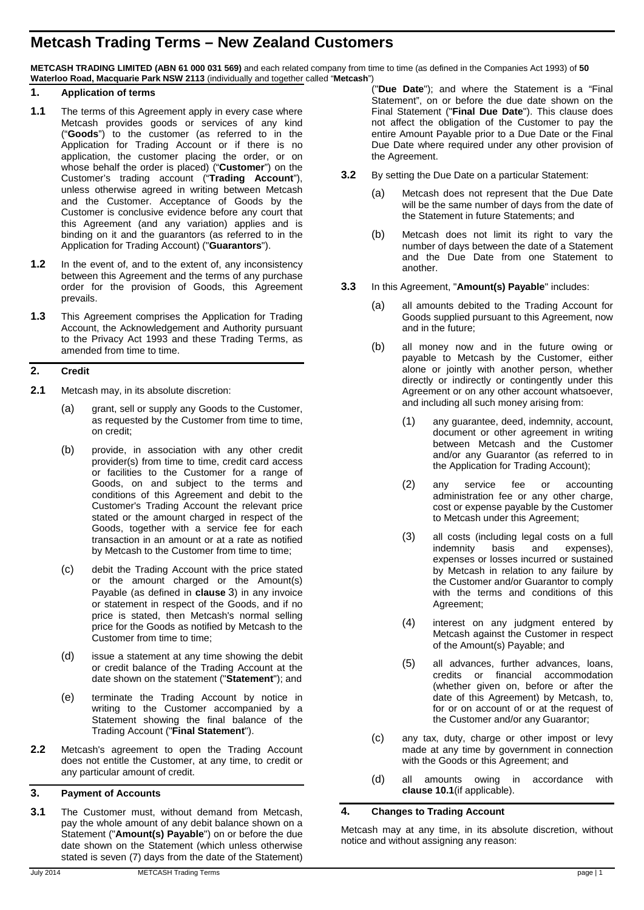# **Metcash Trading Terms – New Zealand Customers**

**METCASH TRADING LIMITED (ABN 61 000 031 569)** and each related company from time to time (as defined in the Companies Act 1993) of **50 Waterloo Road, Macquarie Park NSW 2113** (individually and together called "**Metcash**")

#### **1. Application of terms**

- **1.1** The terms of this Agreement apply in every case where Metcash provides goods or services of any kind ("**Goods**") to the customer (as referred to in the Application for Trading Account or if there is no application, the customer placing the order, or on whose behalf the order is placed) ("**Customer**") on the Customer's trading account ("**Trading Account**"), unless otherwise agreed in writing between Metcash and the Customer. Acceptance of Goods by the Customer is conclusive evidence before any court that this Agreement (and any variation) applies and is binding on it and the guarantors (as referred to in the Application for Trading Account) ("**Guarantors**").
- **1.2** In the event of, and to the extent of, any inconsistency between this Agreement and the terms of any purchase order for the provision of Goods, this Agreement prevails.
- **1.3** This Agreement comprises the Application for Trading Account, the Acknowledgement and Authority pursuant to the Privacy Act 1993 and these Trading Terms, as amended from time to time.

## **2. Credit**

- <span id="page-0-1"></span>**2.1** Metcash may, in its absolute discretion:
	- (a) grant, sell or supply any Goods to the Customer, as requested by the Customer from time to time, on credit;
	- (b) provide, in association with any other credit provider(s) from time to time, credit card access or facilities to the Customer for a range of Goods, on and subject to the terms and conditions of this Agreement and debit to the Customer's Trading Account the relevant price stated or the amount charged in respect of the Goods, together with a service fee for each transaction in an amount or at a rate as notified by Metcash to the Customer from time to time;
	- (c) debit the Trading Account with the price stated or the amount charged or the Amount(s) Payable (as defined in **clause** [3\)](#page-0-0) in any invoice or statement in respect of the Goods, and if no price is stated, then Metcash's normal selling price for the Goods as notified by Metcash to the Customer from time to time:
	- (d) issue a statement at any time showing the debit or credit balance of the Trading Account at the date shown on the statement ("**Statement**"); and
	- (e) terminate the Trading Account by notice in writing to the Customer accompanied by a Statement showing the final balance of the Trading Account ("**Final Statement**").
- **2.2** Metcash's agreement to open the Trading Account does not entitle the Customer, at any time, to credit or any particular amount of credit.

# <span id="page-0-0"></span>**3. Payment of Accounts**

**3.1** The Customer must, without demand from Metcash, pay the whole amount of any debit balance shown on a Statement ("**Amount(s) Payable**") on or before the due date shown on the Statement (which unless otherwise stated is seven (7) days from the date of the Statement)

- **3.2** By setting the Due Date on a particular Statement:
	- (a) Metcash does not represent that the Due Date will be the same number of days from the date of the Statement in future Statements; and
	- (b) Metcash does not limit its right to vary the number of days between the date of a Statement and the Due Date from one Statement to another.
- **3.3** In this Agreement, "**Amount(s) Payable**" includes:
	- (a) all amounts debited to the Trading Account for Goods supplied pursuant to this Agreement, now and in the future;
	- (b) all money now and in the future owing or payable to Metcash by the Customer, either alone or jointly with another person, whether directly or indirectly or contingently under this Agreement or on any other account whatsoever, and including all such money arising from:
		- (1) any guarantee, deed, indemnity, account, document or other agreement in writing between Metcash and the Customer and/or any Guarantor (as referred to in the Application for Trading Account);
		- (2) any service fee or accounting administration fee or any other charge, cost or expense payable by the Customer to Metcash under this Agreement;
		- (3) all costs (including legal costs on a full<br>indemnity basis and expenses), expenses), expenses or losses incurred or sustained by Metcash in relation to any failure by the Customer and/or Guarantor to comply with the terms and conditions of this Agreement;
		- (4) interest on any judgment entered by Metcash against the Customer in respect of the Amount(s) Payable; and
		- (5) all advances, further advances, loans, credits or financial accommodation (whether given on, before or after the date of this Agreement) by Metcash, to, for or on account of or at the request of the Customer and/or any Guarantor;
	- (c) any tax, duty, charge or other impost or levy made at any time by government in connection with the Goods or this Agreement; and
	- (d) all amounts owing in accordance with **clause [10.1](#page-3-0)**(if applicable).

# **4. Changes to Trading Account**

Metcash may at any time, in its absolute discretion, without notice and without assigning any reason: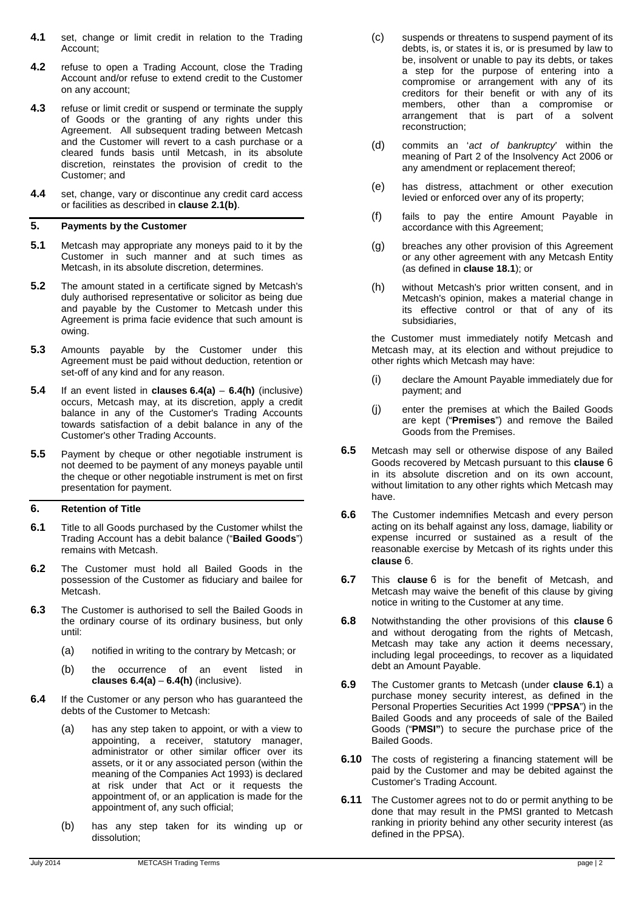- **4.1** set, change or limit credit in relation to the Trading Account;
- **4.2** refuse to open a Trading Account, close the Trading Account and/or refuse to extend credit to the Customer on any account;
- **4.3** refuse or limit credit or suspend or terminate the supply of Goods or the granting of any rights under this Agreement. All subsequent trading between Metcash and the Customer will revert to a cash purchase or a cleared funds basis until Metcash, in its absolute discretion, reinstates the provision of credit to the Customer; and
- **4.4** set, change, vary or discontinue any credit card access or facilities as described in **clause [2.1\(b\)](#page-0-1)**.

#### **5. Payments by the Customer**

- **5.1** Metcash may appropriate any moneys paid to it by the Customer in such manner and at such times as Metcash, in its absolute discretion, determines.
- **5.2** The amount stated in a certificate signed by Metcash's duly authorised representative or solicitor as being due and payable by the Customer to Metcash under this Agreement is prima facie evidence that such amount is owing.
- **5.3** Amounts payable by the Customer under this Agreement must be paid without deduction, retention or set-off of any kind and for any reason.
- **5.4** If an event listed in **clauses [6.4\(a\)](#page-1-0) [6.4\(h\)](#page-1-1)** (inclusive) occurs, Metcash may, at its discretion, apply a credit balance in any of the Customer's Trading Accounts towards satisfaction of a debit balance in any of the Customer's other Trading Accounts.
- **5.5** Payment by cheque or other negotiable instrument is not deemed to be payment of any moneys payable until the cheque or other negotiable instrument is met on first presentation for payment.

#### <span id="page-1-2"></span>**6. Retention of Title**

- <span id="page-1-3"></span>**6.1** Title to all Goods purchased by the Customer whilst the Trading Account has a debit balance ("**Bailed Goods**") remains with Metcash.
- **6.2** The Customer must hold all Bailed Goods in the possession of the Customer as fiduciary and bailee for Metcash.
- **6.3** The Customer is authorised to sell the Bailed Goods in the ordinary course of its ordinary business, but only until:
	- (a) notified in writing to the contrary by Metcash; or
	- (b) the occurrence of an event listed in **clauses [6.4\(a\)](#page-1-0)** – **[6.4\(h\)](#page-1-1)** (inclusive).
- <span id="page-1-0"></span>**6.4** If the Customer or any person who has guaranteed the debts of the Customer to Metcash:
	- (a) has any step taken to appoint, or with a view to appointing, a receiver, statutory manager, administrator or other similar officer over its assets, or it or any associated person (within the meaning of the Companies Act 1993) is declared at risk under that Act or it requests the appointment of, or an application is made for the appointment of, any such official;
	- (b) has any step taken for its winding up or dissolution;
- (c) suspends or threatens to suspend payment of its debts, is, or states it is, or is presumed by law to be, insolvent or unable to pay its debts, or takes a step for the purpose of entering into a compromise or arrangement with any of its creditors for their benefit or with any of its members, other than a compromise or arrangement that is part of a solvent reconstruction;
- (d) commits an '*act of bankruptcy*' within the meaning of Part 2 of the Insolvency Act 2006 or any amendment or replacement thereof;
- (e) has distress, attachment or other execution levied or enforced over any of its property;
- (f) fails to pay the entire Amount Payable in accordance with this Agreement;
- (g) breaches any other provision of this Agreement or any other agreement with any Metcash Entity (as defined in **clause [18.1](#page-6-0)**); or
- <span id="page-1-1"></span>(h) without Metcash's prior written consent, and in Metcash's opinion, makes a material change in its effective control or that of any of its subsidiaries,

the Customer must immediately notify Metcash and Metcash may, at its election and without prejudice to other rights which Metcash may have:

- (i) declare the Amount Payable immediately due for payment; and
- (j) enter the premises at which the Bailed Goods are kept ("**Premises**") and remove the Bailed Goods from the Premises.
- **6.5** Metcash may sell or otherwise dispose of any Bailed Goods recovered by Metcash pursuant to this **clause** [6](#page-1-2) in its absolute discretion and on its own account, without limitation to any other rights which Metcash may have.
- **6.6** The Customer indemnifies Metcash and every person acting on its behalf against any loss, damage, liability or expense incurred or sustained as a result of the reasonable exercise by Metcash of its rights under this **clause** [6.](#page-1-2)
- **6.7** This **clause** [6](#page-1-2) is for the benefit of Metcash, and Metcash may waive the benefit of this clause by giving notice in writing to the Customer at any time.
- **6.8** Notwithstanding the other provisions of this **clause** [6](#page-1-2) and without derogating from the rights of Metcash, Metcash may take any action it deems necessary, including legal proceedings, to recover as a liquidated debt an Amount Payable.
- **6.9** The Customer grants to Metcash (under **clause [6.1](#page-1-3)**) a purchase money security interest, as defined in the Personal Properties Securities Act 1999 ("**PPSA**") in the Bailed Goods and any proceeds of sale of the Bailed Goods ("**PMSI"**) to secure the purchase price of the Bailed Goods.
- **6.10** The costs of registering a financing statement will be paid by the Customer and may be debited against the Customer's Trading Account.
- **6.11** The Customer agrees not to do or permit anything to be done that may result in the PMSI granted to Metcash ranking in priority behind any other security interest (as defined in the PPSA).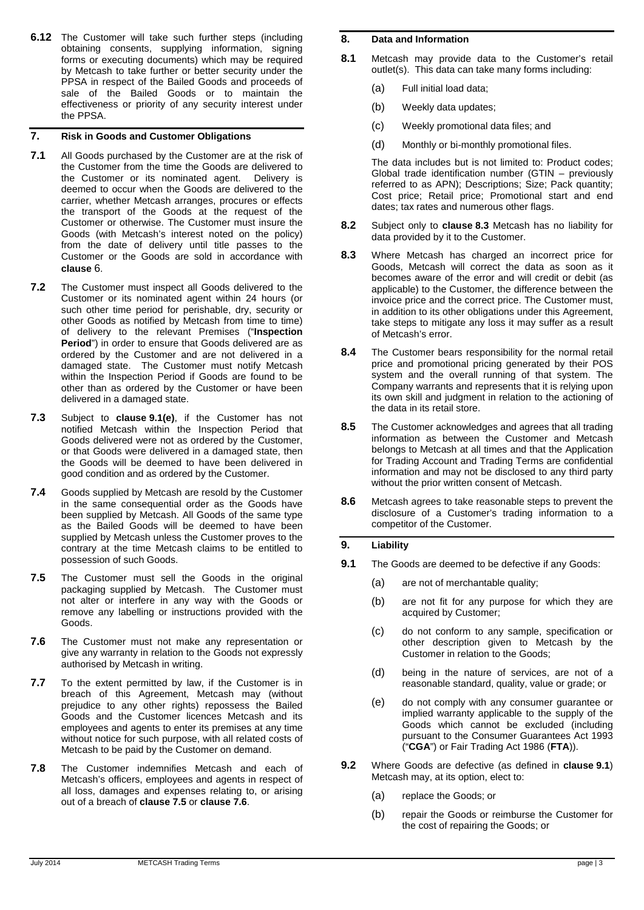**6.12** The Customer will take such further steps (including obtaining consents, supplying information, signing forms or executing documents) which may be required by Metcash to take further or better security under the PPSA in respect of the Bailed Goods and proceeds of sale of the Bailed Goods or to maintain the effectiveness or priority of any security interest under the PPSA.

## **7. Risk in Goods and Customer Obligations**

- **7.1** All Goods purchased by the Customer are at the risk of the Customer from the time the Goods are delivered to the Customer or its nominated agent. Delivery is deemed to occur when the Goods are delivered to the carrier, whether Metcash arranges, procures or effects the transport of the Goods at the request of the Customer or otherwise. The Customer must insure the Goods (with Metcash's interest noted on the policy) from the date of delivery until title passes to the Customer or the Goods are sold in accordance with **clause** [6.](#page-1-2)
- <span id="page-2-5"></span>**7.2** The Customer must inspect all Goods delivered to the Customer or its nominated agent within 24 hours (or such other time period for perishable, dry, security or other Goods as notified by Metcash from time to time) of delivery to the relevant Premises ("**Inspection Period**") in order to ensure that Goods delivered are as ordered by the Customer and are not delivered in a damaged state. The Customer must notify Metcash within the Inspection Period if Goods are found to be other than as ordered by the Customer or have been delivered in a damaged state.
- **7.3** Subject to **clause [9.1\(e\)](#page-2-0)**, if the Customer has not notified Metcash within the Inspection Period that Goods delivered were not as ordered by the Customer, or that Goods were delivered in a damaged state, then the Goods will be deemed to have been delivered in good condition and as ordered by the Customer.
- **7.4** Goods supplied by Metcash are resold by the Customer in the same consequential order as the Goods have been supplied by Metcash. All Goods of the same type as the Bailed Goods will be deemed to have been supplied by Metcash unless the Customer proves to the contrary at the time Metcash claims to be entitled to possession of such Goods.
- <span id="page-2-1"></span>**7.5** The Customer must sell the Goods in the original packaging supplied by Metcash. The Customer must not alter or interfere in any way with the Goods or remove any labelling or instructions provided with the Goods.
- <span id="page-2-2"></span>**7.6** The Customer must not make any representation or give any warranty in relation to the Goods not expressly authorised by Metcash in writing.
- **7.7** To the extent permitted by law, if the Customer is in breach of this Agreement, Metcash may (without prejudice to any other rights) repossess the Bailed Goods and the Customer licences Metcash and its employees and agents to enter its premises at any time without notice for such purpose, with all related costs of Metcash to be paid by the Customer on demand.
- **7.8** The Customer indemnifies Metcash and each of Metcash's officers, employees and agents in respect of all loss, damages and expenses relating to, or arising out of a breach of **clause [7.5](#page-2-1)** or **clause [7.6](#page-2-2)**.

#### **8. Data and Information**

- **8.1** Metcash may provide data to the Customer's retail outlet(s). This data can take many forms including:
	- (a) Full initial load data;
	- (b) Weekly data updates;
	- (c) Weekly promotional data files; and
	- (d) Monthly or bi-monthly promotional files.

The data includes but is not limited to: Product codes; Global trade identification number (GTIN – previously referred to as APN); Descriptions; Size; Pack quantity; Cost price; Retail price; Promotional start and end dates; tax rates and numerous other flags.

- **8.2** Subject only to **clause [8.3](#page-2-3)** Metcash has no liability for data provided by it to the Customer.
- <span id="page-2-3"></span>**8.3** Where Metcash has charged an incorrect price for Goods, Metcash will correct the data as soon as it becomes aware of the error and will credit or debit (as applicable) to the Customer, the difference between the invoice price and the correct price. The Customer must, in addition to its other obligations under this Agreement, take steps to mitigate any loss it may suffer as a result of Metcash's error.
- **8.4** The Customer bears responsibility for the normal retail price and promotional pricing generated by their POS system and the overall running of that system. The Company warrants and represents that it is relying upon its own skill and judgment in relation to the actioning of the data in its retail store.
- **8.5** The Customer acknowledges and agrees that all trading information as between the Customer and Metcash belongs to Metcash at all times and that the Application for Trading Account and Trading Terms are confidential information and may not be disclosed to any third party without the prior written consent of Metcash.
- **8.6** Metcash agrees to take reasonable steps to prevent the disclosure of a Customer's trading information to a competitor of the Customer.

## <span id="page-2-7"></span>**9. Liability**

- <span id="page-2-6"></span><span id="page-2-4"></span>**9.1** The Goods are deemed to be defective if any Goods:
	- (a) are not of merchantable quality;
	- (b) are not fit for any purpose for which they are acquired by Customer;
	- (c) do not conform to any sample, specification or other description given to Metcash by the Customer in relation to the Goods;
	- (d) being in the nature of services, are not of a reasonable standard, quality, value or grade; or
	- (e) do not comply with any consumer guarantee or implied warranty applicable to the supply of the Goods which cannot be excluded (including pursuant to the Consumer Guarantees Act 1993 ("**CGA**") or Fair Trading Act 1986 (**FTA**)).
- <span id="page-2-8"></span><span id="page-2-0"></span>**9.2** Where Goods are defective (as defined in **clause [9.1](#page-2-4)**) Metcash may, at its option, elect to:
	- (a) replace the Goods; or
	- (b) repair the Goods or reimburse the Customer for the cost of repairing the Goods; or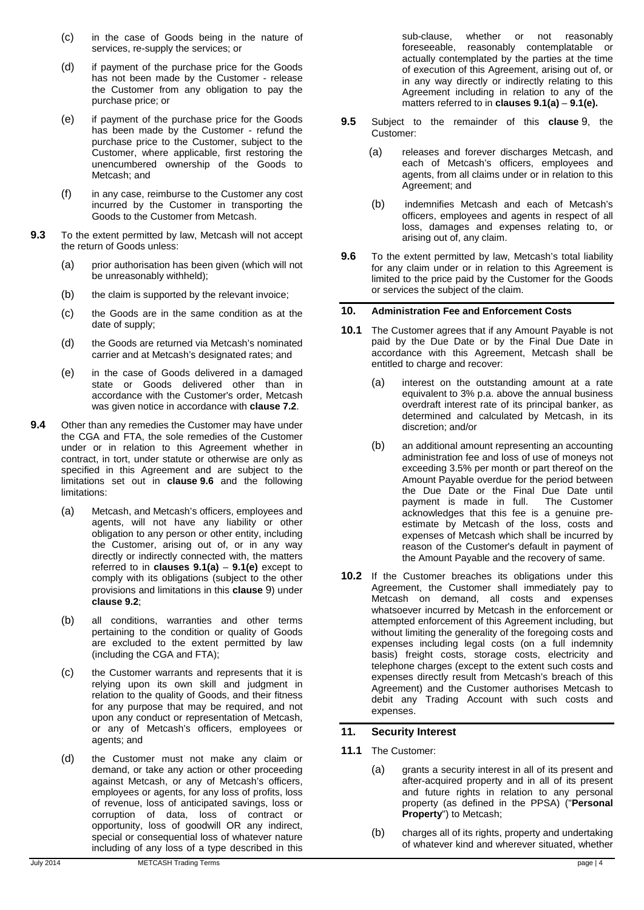- (c) in the case of Goods being in the nature of services, re-supply the services; or
- (d) if payment of the purchase price for the Goods has not been made by the Customer - release the Customer from any obligation to pay the purchase price; or
- (e) if payment of the purchase price for the Goods has been made by the Customer - refund the purchase price to the Customer, subject to the Customer, where applicable, first restoring the unencumbered ownership of the Goods to Metcash; and
- (f) in any case, reimburse to the Customer any cost incurred by the Customer in transporting the Goods to the Customer from Metcash.
- **9.3** To the extent permitted by law, Metcash will not accept the return of Goods unless:
	- (a) prior authorisation has been given (which will not be unreasonably withheld);
	- (b) the claim is supported by the relevant invoice;
	- (c) the Goods are in the same condition as at the date of supply;
	- (d) the Goods are returned via Metcash's nominated carrier and at Metcash's designated rates; and
	- (e) in the case of Goods delivered in a damaged state or Goods delivered other than in accordance with the Customer's order, Metcash was given notice in accordance with **clause [7.2](#page-2-5)**.
- **9.4** Other than any remedies the Customer may have under the CGA and FTA, the sole remedies of the Customer under or in relation to this Agreement whether in contract, in tort, under statute or otherwise are only as specified in this Agreement and are subject to the limitations set out in **clause [9.6](#page-3-1)** and the following limitations:
	- (a) Metcash, and Metcash's officers, employees and agents, will not have any liability or other obligation to any person or other entity, including the Customer, arising out of, or in any way directly or indirectly connected with, the matters referred to in **clauses [9.1\(a\)](#page-2-6)** – **[9.1\(e\)](#page-2-0)** except to comply with its obligations (subject to the other provisions and limitations in this **clause** [9\)](#page-2-7) under **clause [9.2](#page-2-8)**;
	- (b) all conditions, warranties and other terms pertaining to the condition or quality of Goods are excluded to the extent permitted by law (including the CGA and FTA);
	- (c) the Customer warrants and represents that it is relying upon its own skill and judgment in relation to the quality of Goods, and their fitness for any purpose that may be required, and not upon any conduct or representation of Metcash, or any of Metcash's officers, employees or agents; and
	- (d) the Customer must not make any claim or demand, or take any action or other proceeding against Metcash, or any of Metcash's officers, employees or agents, for any loss of profits, loss of revenue, loss of anticipated savings, loss or corruption of data, loss of contract or opportunity, loss of goodwill OR any indirect, special or consequential loss of whatever nature including of any loss of a type described in this

sub-clause, whether or not reasonably foreseeable, reasonably contemplatable or actually contemplated by the parties at the time of execution of this Agreement, arising out of, or in any way directly or indirectly relating to this Agreement including in relation to any of the matters referred to in **clauses [9.1\(a\)](#page-2-6)** – **[9.1\(e\).](#page-2-0)** 

- **9.5** Subject to the remainder of this **clause** [9,](#page-2-7) the Customer:
	- (a) releases and forever discharges Metcash, and each of Metcash's officers, employees and agents, from all claims under or in relation to this Agreement; and
	- (b) indemnifies Metcash and each of Metcash's officers, employees and agents in respect of all loss, damages and expenses relating to, or arising out of, any claim.
- <span id="page-3-1"></span>**9.6** To the extent permitted by law, Metcash's total liability for any claim under or in relation to this Agreement is limited to the price paid by the Customer for the Goods or services the subject of the claim.

## **10. Administration Fee and Enforcement Costs**

- <span id="page-3-0"></span>**10.1** The Customer agrees that if any Amount Payable is not paid by the Due Date or by the Final Due Date in accordance with this Agreement, Metcash shall be entitled to charge and recover:
	- (a) interest on the outstanding amount at a rate equivalent to 3% p.a. above the annual business overdraft interest rate of its principal banker, as determined and calculated by Metcash, in its discretion; and/or
	- (b) an additional amount representing an accounting administration fee and loss of use of moneys not exceeding 3.5% per month or part thereof on the Amount Payable overdue for the period between the Due Date or the Final Due Date until payment is made in full. The Customer acknowledges that this fee is a genuine preestimate by Metcash of the loss, costs and expenses of Metcash which shall be incurred by reason of the Customer's default in payment of the Amount Payable and the recovery of same.
- **10.2** If the Customer breaches its obligations under this Agreement, the Customer shall immediately pay to Metcash on demand, all costs and expenses whatsoever incurred by Metcash in the enforcement or attempted enforcement of this Agreement including, but without limiting the generality of the foregoing costs and expenses including legal costs (on a full indemnity basis) freight costs, storage costs, electricity and telephone charges (except to the extent such costs and expenses directly result from Metcash's breach of this Agreement) and the Customer authorises Metcash to debit any Trading Account with such costs and expenses.

## **11. Security Interest**

- **11.1** The Customer:
	- (a) grants a security interest in all of its present and after-acquired property and in all of its present and future rights in relation to any personal property (as defined in the PPSA) ("**Personal Property**") to Metcash;
	- (b) charges all of its rights, property and undertaking of whatever kind and wherever situated, whether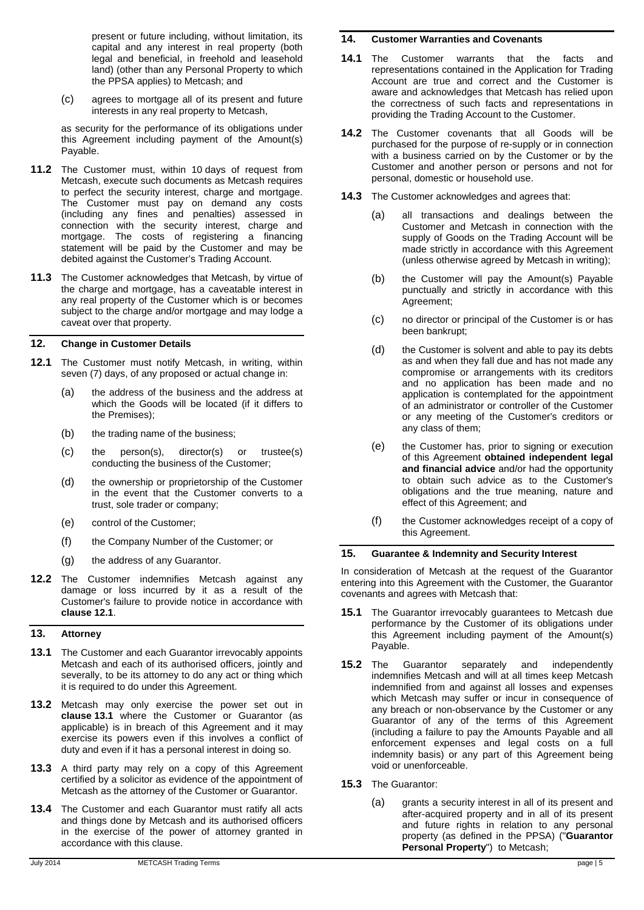present or future including, without limitation, its capital and any interest in real property (both legal and beneficial, in freehold and leasehold land) (other than any Personal Property to which the PPSA applies) to Metcash; and

(c) agrees to mortgage all of its present and future interests in any real property to Metcash,

as security for the performance of its obligations under this Agreement including payment of the Amount(s) Payable.

- **11.2** The Customer must, within 10 days of request from Metcash, execute such documents as Metcash requires to perfect the security interest, charge and mortgage. The Customer must pay on demand any costs (including any fines and penalties) assessed in connection with the security interest, charge and mortgage. The costs of registering a financing statement will be paid by the Customer and may be debited against the Customer's Trading Account.
- **11.3** The Customer acknowledges that Metcash, by virtue of the charge and mortgage, has a caveatable interest in any real property of the Customer which is or becomes subject to the charge and/or mortgage and may lodge a caveat over that property.

#### **12. Change in Customer Details**

- <span id="page-4-0"></span>**12.1** The Customer must notify Metcash, in writing, within seven (7) days, of any proposed or actual change in:
	- (a) the address of the business and the address at which the Goods will be located (if it differs to the Premises);
	- (b) the trading name of the business;
	- (c) the person(s), director(s) or trustee(s) conducting the business of the Customer;
	- (d) the ownership or proprietorship of the Customer in the event that the Customer converts to a trust, sole trader or company;
	- (e) control of the Customer;
	- (f) the Company Number of the Customer; or
	- (g) the address of any Guarantor.
- **12.2** The Customer indemnifies Metcash against any damage or loss incurred by it as a result of the Customer's failure to provide notice in accordance with **clause [12.1](#page-4-0)**.

## **13. Attorney**

- <span id="page-4-1"></span>**13.1** The Customer and each Guarantor irrevocably appoints Metcash and each of its authorised officers, jointly and severally, to be its attorney to do any act or thing which it is required to do under this Agreement.
- **13.2** Metcash may only exercise the power set out in **clause [13.1](#page-4-1)** where the Customer or Guarantor (as applicable) is in breach of this Agreement and it may exercise its powers even if this involves a conflict of duty and even if it has a personal interest in doing so.
- **13.3** A third party may rely on a copy of this Agreement certified by a solicitor as evidence of the appointment of Metcash as the attorney of the Customer or Guarantor.
- **13.4** The Customer and each Guarantor must ratify all acts and things done by Metcash and its authorised officers in the exercise of the power of attorney granted in accordance with this clause.

#### **14. Customer Warranties and Covenants**

- **14.1** The Customer warrants that the facts and representations contained in the Application for Trading Account are true and correct and the Customer is aware and acknowledges that Metcash has relied upon the correctness of such facts and representations in providing the Trading Account to the Customer.
- **14.2** The Customer covenants that all Goods will be purchased for the purpose of re-supply or in connection with a business carried on by the Customer or by the Customer and another person or persons and not for personal, domestic or household use.
- **14.3** The Customer acknowledges and agrees that:
	- (a) all transactions and dealings between the Customer and Metcash in connection with the supply of Goods on the Trading Account will be made strictly in accordance with this Agreement (unless otherwise agreed by Metcash in writing);
	- (b) the Customer will pay the Amount(s) Payable punctually and strictly in accordance with this Agreement;
	- (c) no director or principal of the Customer is or has been bankrupt;
	- (d) the Customer is solvent and able to pay its debts as and when they fall due and has not made any compromise or arrangements with its creditors and no application has been made and no application is contemplated for the appointment of an administrator or controller of the Customer or any meeting of the Customer's creditors or any class of them;
	- (e) the Customer has, prior to signing or execution of this Agreement **obtained independent legal and financial advice** and/or had the opportunity to obtain such advice as to the Customer's obligations and the true meaning, nature and effect of this Agreement; and
	- (f) the Customer acknowledges receipt of a copy of this Agreement.

# <span id="page-4-5"></span>**15. Guarantee & Indemnity and Security Interest**

In consideration of Metcash at the request of the Guarantor entering into this Agreement with the Customer, the Guarantor covenants and agrees with Metcash that:

- <span id="page-4-2"></span>**15.1** The Guarantor irrevocably guarantees to Metcash due performance by the Customer of its obligations under this Agreement including payment of the Amount(s) Payable.
- <span id="page-4-3"></span>**15.2** The Guarantor separately and independently indemnifies Metcash and will at all times keep Metcash indemnified from and against all losses and expenses which Metcash may suffer or incur in consequence of any breach or non-observance by the Customer or any Guarantor of any of the terms of this Agreement (including a failure to pay the Amounts Payable and all enforcement expenses and legal costs on a full indemnity basis) or any part of this Agreement being void or unenforceable.
- <span id="page-4-4"></span>**15.3** The Guarantor:
	- (a) grants a security interest in all of its present and after-acquired property and in all of its present and future rights in relation to any personal property (as defined in the PPSA) ("**Guarantor Personal Property**") to Metcash;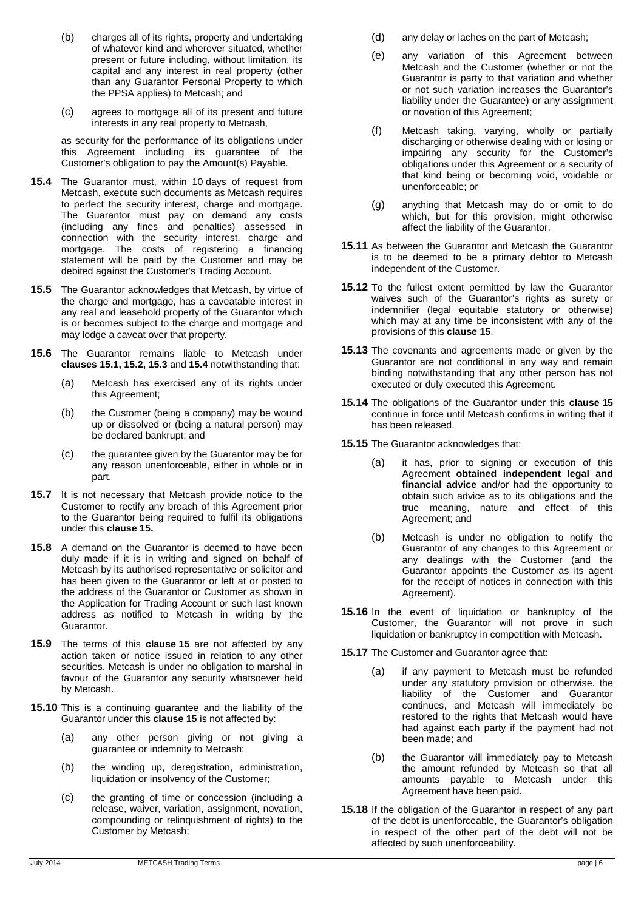- (b) charges all of its rights, property and undertaking of whatever kind and wherever situated, whether present or future including, without limitation, its capital and any interest in real property (other than any Guarantor Personal Property to which the PPSA applies) to Metcash; and
- (c) agrees to mortgage all of its present and future interests in any real property to Metcash,

as security for the performance of its obligations under this Agreement including its guarantee of the Customer's obligation to pay the Amount(s) Payable.

- <span id="page-5-0"></span>**15.4** The Guarantor must, within 10 days of request from Metcash, execute such documents as Metcash requires to perfect the security interest, charge and mortgage. The Guarantor must pay on demand any costs (including any fines and penalties) assessed in connection with the security interest, charge and mortgage. The costs of registering a financing statement will be paid by the Customer and may be debited against the Customer's Trading Account.
- **15.5** The Guarantor acknowledges that Metcash, by virtue of the charge and mortgage, has a caveatable interest in any real and leasehold property of the Guarantor which is or becomes subject to the charge and mortgage and may lodge a caveat over that property.
- **15.6** The Guarantor remains liable to Metcash under **clauses [15.1,](#page-4-2) [15.2,](#page-4-3) [15.3](#page-4-4)** and **[15.4](#page-5-0)** notwithstanding that:
	- (a) Metcash has exercised any of its rights under this Agreement;
	- (b) the Customer (being a company) may be wound up or dissolved or (being a natural person) may be declared bankrupt; and
	- (c) the guarantee given by the Guarantor may be for any reason unenforceable, either in whole or in part.
- **15.7** It is not necessary that Metcash provide notice to the Customer to rectify any breach of this Agreement prior to the Guarantor being required to fulfil its obligations under this **clause [15.](#page-4-5)**
- **15.8** A demand on the Guarantor is deemed to have been duly made if it is in writing and signed on behalf of Metcash by its authorised representative or solicitor and has been given to the Guarantor or left at or posted to the address of the Guarantor or Customer as shown in the Application for Trading Account or such last known address as notified to Metcash in writing by the Guarantor.
- **15.9** The terms of this **clause [15](#page-4-5)** are not affected by any action taken or notice issued in relation to any other securities. Metcash is under no obligation to marshal in favour of the Guarantor any security whatsoever held by Metcash.
- **15.10** This is a continuing guarantee and the liability of the Guarantor under this **clause [15](#page-4-5)** is not affected by:
	- (a) any other person giving or not giving a guarantee or indemnity to Metcash;
	- (b) the winding up, deregistration, administration, liquidation or insolvency of the Customer;
	- (c) the granting of time or concession (including a release, waiver, variation, assignment, novation, compounding or relinquishment of rights) to the Customer by Metcash;
- (d) any delay or laches on the part of Metcash;
- (e) any variation of this Agreement between Metcash and the Customer (whether or not the Guarantor is party to that variation and whether or not such variation increases the Guarantor's liability under the Guarantee) or any assignment or novation of this Agreement;
- (f) Metcash taking, varying, wholly or partially discharging or otherwise dealing with or losing or impairing any security for the Customer's obligations under this Agreement or a security of that kind being or becoming void, voidable or unenforceable; or
- (g) anything that Metcash may do or omit to do which, but for this provision, might otherwise affect the liability of the Guarantor.
- **15.11** As between the Guarantor and Metcash the Guarantor is to be deemed to be a primary debtor to Metcash independent of the Customer.
- **15.12** To the fullest extent permitted by law the Guarantor waives such of the Guarantor's rights as surety or indemnifier (legal equitable statutory or otherwise) which may at any time be inconsistent with any of the provisions of this **clause [15](#page-4-5)**.
- **15.13** The covenants and agreements made or given by the Guarantor are not conditional in any way and remain binding notwithstanding that any other person has not executed or duly executed this Agreement.
- **15.14** The obligations of the Guarantor under this **clause [15](#page-4-5)** continue in force until Metcash confirms in writing that it has been released.
- **15.15** The Guarantor acknowledges that:
	- (a) it has, prior to signing or execution of this Agreement **obtained independent legal and financial advice** and/or had the opportunity to obtain such advice as to its obligations and the true meaning, nature and effect of this Agreement; and
	- (b) Metcash is under no obligation to notify the Guarantor of any changes to this Agreement or any dealings with the Customer (and the Guarantor appoints the Customer as its agent for the receipt of notices in connection with this Agreement).
- **15.16** In the event of liquidation or bankruptcy of the Customer, the Guarantor will not prove in such liquidation or bankruptcy in competition with Metcash.

**15.17** The Customer and Guarantor agree that:

- (a) if any payment to Metcash must be refunded under any statutory provision or otherwise, the liability of the Customer and Guarantor continues, and Metcash will immediately be restored to the rights that Metcash would have had against each party if the payment had not been made; and
- (b) the Guarantor will immediately pay to Metcash the amount refunded by Metcash so that all amounts payable to Metcash under this Agreement have been paid.
- **15.18** If the obligation of the Guarantor in respect of any part of the debt is unenforceable, the Guarantor's obligation in respect of the other part of the debt will not be affected by such unenforceability.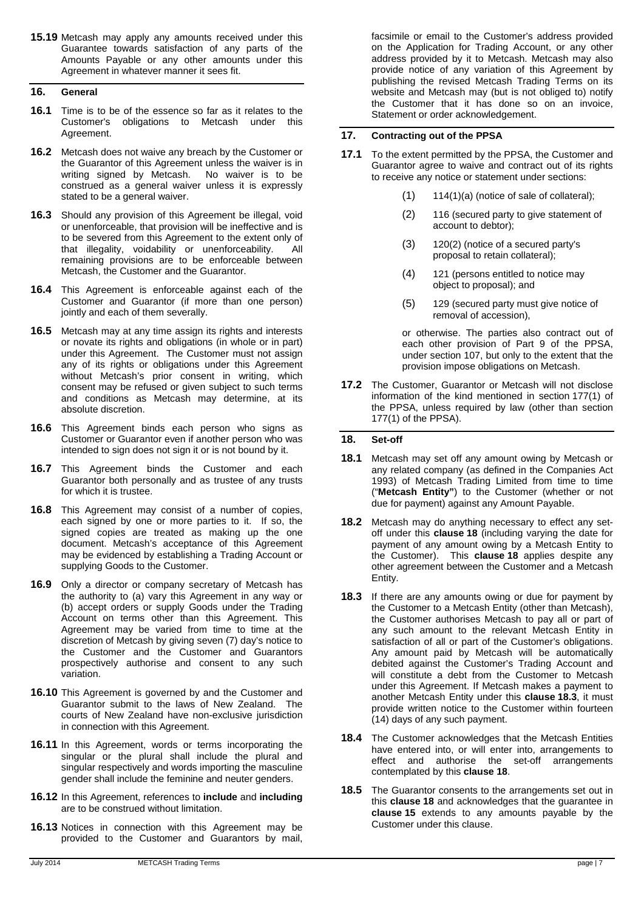**15.19** Metcash may apply any amounts received under this Guarantee towards satisfaction of any parts of the Amounts Payable or any other amounts under this Agreement in whatever manner it sees fit.

# **16. General**

- **16.1** Time is to be of the essence so far as it relates to the Customer's obligations to Metcash under this Agreement.
- **16.2** Metcash does not waive any breach by the Customer or the Guarantor of this Agreement unless the waiver is in writing signed by Metcash. No waiver is to be construed as a general waiver unless it is expressly stated to be a general waiver.
- **16.3** Should any provision of this Agreement be illegal, void or unenforceable, that provision will be ineffective and is to be severed from this Agreement to the extent only of that illegality, voidability or unenforceability. All remaining provisions are to be enforceable between Metcash, the Customer and the Guarantor.
- **16.4** This Agreement is enforceable against each of the Customer and Guarantor (if more than one person) jointly and each of them severally.
- **16.5** Metcash may at any time assign its rights and interests or novate its rights and obligations (in whole or in part) under this Agreement. The Customer must not assign any of its rights or obligations under this Agreement without Metcash's prior consent in writing, which consent may be refused or given subject to such terms and conditions as Metcash may determine, at its absolute discretion.
- **16.6** This Agreement binds each person who signs as Customer or Guarantor even if another person who was intended to sign does not sign it or is not bound by it.
- **16.7** This Agreement binds the Customer and each Guarantor both personally and as trustee of any trusts for which it is trustee.
- **16.8** This Agreement may consist of a number of copies, each signed by one or more parties to it. If so, the signed copies are treated as making up the one document. Metcash's acceptance of this Agreement may be evidenced by establishing a Trading Account or supplying Goods to the Customer.
- **16.9** Only a director or company secretary of Metcash has the authority to (a) vary this Agreement in any way or (b) accept orders or supply Goods under the Trading Account on terms other than this Agreement. This Agreement may be varied from time to time at the discretion of Metcash by giving seven (7) day's notice to the Customer and the Customer and Guarantors prospectively authorise and consent to any such variation.
- **16.10** This Agreement is governed by and the Customer and Guarantor submit to the laws of New Zealand. The courts of New Zealand have non-exclusive jurisdiction in connection with this Agreement.
- **16.11** In this Agreement, words or terms incorporating the singular or the plural shall include the plural and singular respectively and words importing the masculine gender shall include the feminine and neuter genders.
- **16.12** In this Agreement, references to **include** and **including** are to be construed without limitation.
- **16.13** Notices in connection with this Agreement may be provided to the Customer and Guarantors by mail,

facsimile or email to the Customer's address provided on the Application for Trading Account, or any other address provided by it to Metcash. Metcash may also provide notice of any variation of this Agreement by publishing the revised Metcash Trading Terms on its website and Metcash may (but is not obliged to) notify the Customer that it has done so on an invoice, Statement or order acknowledgement.

#### **17. Contracting out of the PPSA**

- **17.1** To the extent permitted by the PPSA, the Customer and Guarantor agree to waive and contract out of its rights to receive any notice or statement under sections:
	- (1) 114(1)(a) (notice of sale of collateral);
	- (2) 116 (secured party to give statement of account to debtor);
	- (3) 120(2) (notice of a secured party's proposal to retain collateral);
	- (4) 121 (persons entitled to notice may object to proposal); and
	- (5) 129 (secured party must give notice of removal of accession),

or otherwise. The parties also contract out of each other provision of Part 9 of the PPSA, under section 107, but only to the extent that the provision impose obligations on Metcash.

**17.2** The Customer, Guarantor or Metcash will not disclose information of the kind mentioned in section 177(1) of the PPSA, unless required by law (other than section 177(1) of the PPSA).

#### <span id="page-6-1"></span>**18. Set-off**

- <span id="page-6-0"></span>**18.1** Metcash may set off any amount owing by Metcash or any related company (as defined in the Companies Act 1993) of Metcash Trading Limited from time to time ("**Metcash Entity"**) to the Customer (whether or not due for payment) against any Amount Payable.
- **18.2** Metcash may do anything necessary to effect any setoff under this **clause [18](#page-6-1)** (including varying the date for payment of any amount owing by a Metcash Entity to the Customer). This **clause [18](#page-6-1)** applies despite any other agreement between the Customer and a Metcash Entity.
- <span id="page-6-2"></span>**18.3** If there are any amounts owing or due for payment by the Customer to a Metcash Entity (other than Metcash), the Customer authorises Metcash to pay all or part of any such amount to the relevant Metcash Entity in satisfaction of all or part of the Customer's obligations. Any amount paid by Metcash will be automatically debited against the Customer's Trading Account and will constitute a debt from the Customer to Metcash under this Agreement. If Metcash makes a payment to another Metcash Entity under this **clause [18.3](#page-6-2)**, it must provide written notice to the Customer within fourteen (14) days of any such payment.
- **18.4** The Customer acknowledges that the Metcash Entities have entered into, or will enter into, arrangements to effect and authorise the set-off arrangements contemplated by this **clause [18](#page-6-1)**.
- **18.5** The Guarantor consents to the arrangements set out in this **clause [18](#page-6-1)** and acknowledges that the guarantee in **clause [15](#page-4-5)** extends to any amounts payable by the Customer under this clause.